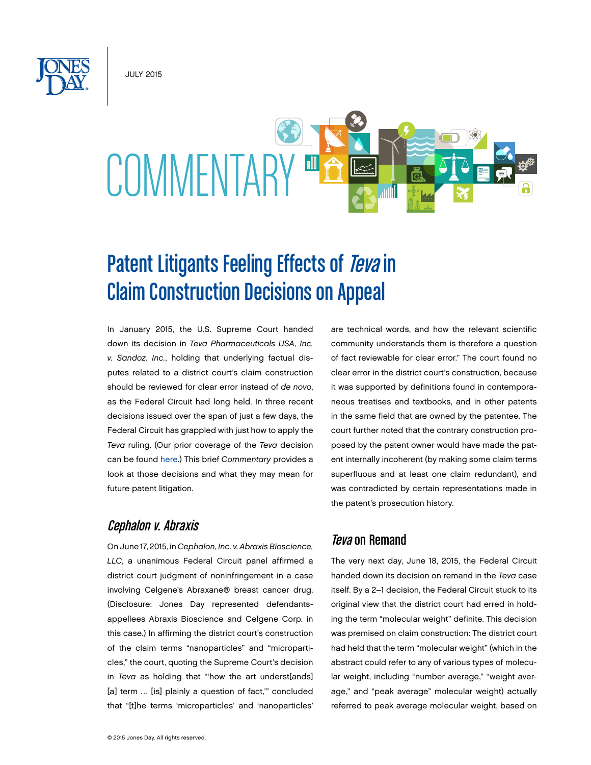JULY 2015



# Patent Litigants Feeling Effects of Teva in Claim Construction Decisions on Appeal

In January 2015, the U.S. Supreme Court handed down its decision in *Teva Pharmaceuticals USA, Inc. v. Sandoz, Inc.*, holding that underlying factual disputes related to a district court's claim construction should be reviewed for clear error instead of *de novo*, as the Federal Circuit had long held. In three recent decisions issued over the span of just a few days, the Federal Circuit has grappled with just how to apply the *Teva* ruling. (Our prior coverage of the *Teva* decision can be found [here](http://www.jonesday.com/supreme-court-alters-appellate-review-of-patent-claim-construction-01-21-2015/).) This brief *Commentary* provides a look at those decisions and what they may mean for future patent litigation.

## Cephalon v. Abraxis

On June 17, 2015, in *Cephalon, Inc. v. Abraxis Bioscience, LLC*, a unanimous Federal Circuit panel affirmed a district court judgment of noninfringement in a case involving Celgene's Abraxane® breast cancer drug. (Disclosure: Jones Day represented defendantsappellees Abraxis Bioscience and Celgene Corp. in this case.) In affirming the district court's construction of the claim terms "nanoparticles" and "microparticles," the court, quoting the Supreme Court's decision in *Teva* as holding that "'how the art underst[ands] [a] term ... [is] plainly a question of fact," concluded that "[t]he terms 'microparticles' and 'nanoparticles'

are technical words, and how the relevant scientific community understands them is therefore a question of fact reviewable for clear error." The court found no clear error in the district court's construction, because it was supported by definitions found in contemporaneous treatises and textbooks, and in other patents in the same field that are owned by the patentee. The court further noted that the contrary construction proposed by the patent owner would have made the patent internally incoherent (by making some claim terms superfluous and at least one claim redundant), and was contradicted by certain representations made in the patent's prosecution history.

## *Teva* on Remand

The very next day, June 18, 2015, the Federal Circuit handed down its decision on remand in the *Teva* case itself. By a 2–1 decision, the Federal Circuit stuck to its original view that the district court had erred in holding the term "molecular weight" definite. This decision was premised on claim construction: The district court had held that the term "molecular weight" (which in the abstract could refer to any of various types of molecular weight, including "number average," "weight average," and "peak average" molecular weight) actually referred to peak average molecular weight, based on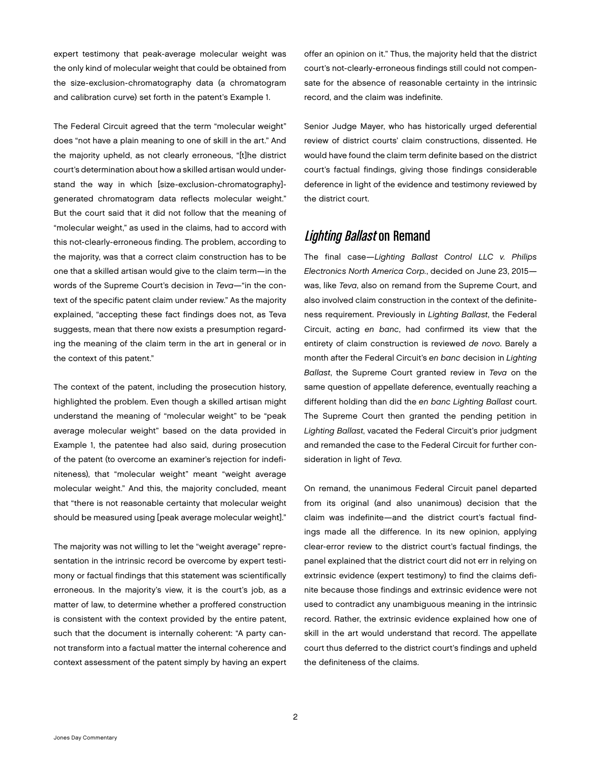expert testimony that peak-average molecular weight was the only kind of molecular weight that could be obtained from the size-exclusion-chromatography data (a chromatogram and calibration curve) set forth in the patent's Example 1.

The Federal Circuit agreed that the term "molecular weight" does "not have a plain meaning to one of skill in the art." And the majority upheld, as not clearly erroneous, "[t]he district court's determination about how a skilled artisan would understand the way in which [size-exclusion-chromatography] generated chromatogram data reflects molecular weight." But the court said that it did not follow that the meaning of "molecular weight," as used in the claims, had to accord with this not-clearly-erroneous finding. The problem, according to the majority, was that a correct claim construction has to be one that a skilled artisan would give to the claim term—in the words of the Supreme Court's decision in *Teva*—"in the context of the specific patent claim under review." As the majority explained, "accepting these fact findings does not, as Teva suggests, mean that there now exists a presumption regarding the meaning of the claim term in the art in general or in the context of this patent."

The context of the patent, including the prosecution history, highlighted the problem. Even though a skilled artisan might understand the meaning of "molecular weight" to be "peak average molecular weight" based on the data provided in Example 1, the patentee had also said, during prosecution of the patent (to overcome an examiner's rejection for indefiniteness), that "molecular weight" meant "weight average molecular weight." And this, the majority concluded, meant that "there is not reasonable certainty that molecular weight should be measured using [peak average molecular weight]."

The majority was not willing to let the "weight average" representation in the intrinsic record be overcome by expert testimony or factual findings that this statement was scientifically erroneous. In the majority's view, it is the court's job, as a matter of law, to determine whether a proffered construction is consistent with the context provided by the entire patent, such that the document is internally coherent: "A party cannot transform into a factual matter the internal coherence and context assessment of the patent simply by having an expert

offer an opinion on it." Thus, the majority held that the district court's not-clearly-erroneous findings still could not compensate for the absence of reasonable certainty in the intrinsic record, and the claim was indefinite.

Senior Judge Mayer, who has historically urged deferential review of district courts' claim constructions, dissented. He would have found the claim term definite based on the district court's factual findings, giving those findings considerable deference in light of the evidence and testimony reviewed by the district court.

# **Lighting Ballast on Remand**

The final case—*Lighting Ballast Control LLC v. Philips Electronics North America Corp.*, decided on June 23, 2015 was, like *Teva*, also on remand from the Supreme Court, and also involved claim construction in the context of the definiteness requirement. Previously in *Lighting Ballast*, the Federal Circuit, acting *en banc*, had confirmed its view that the entirety of claim construction is reviewed *de novo*. Barely a month after the Federal Circuit's *en banc* decision in *Lighting Ballast*, the Supreme Court granted review in *Teva* on the same question of appellate deference, eventually reaching a different holding than did the *en banc Lighting Ballast* court. The Supreme Court then granted the pending petition in *Lighting Ballast*, vacated the Federal Circuit's prior judgment and remanded the case to the Federal Circuit for further consideration in light of *Teva*.

On remand, the unanimous Federal Circuit panel departed from its original (and also unanimous) decision that the claim was indefinite—and the district court's factual findings made all the difference. In its new opinion, applying clear-error review to the district court's factual findings, the panel explained that the district court did not err in relying on extrinsic evidence (expert testimony) to find the claims definite because those findings and extrinsic evidence were not used to contradict any unambiguous meaning in the intrinsic record. Rather, the extrinsic evidence explained how one of skill in the art would understand that record. The appellate court thus deferred to the district court's findings and upheld the definiteness of the claims.